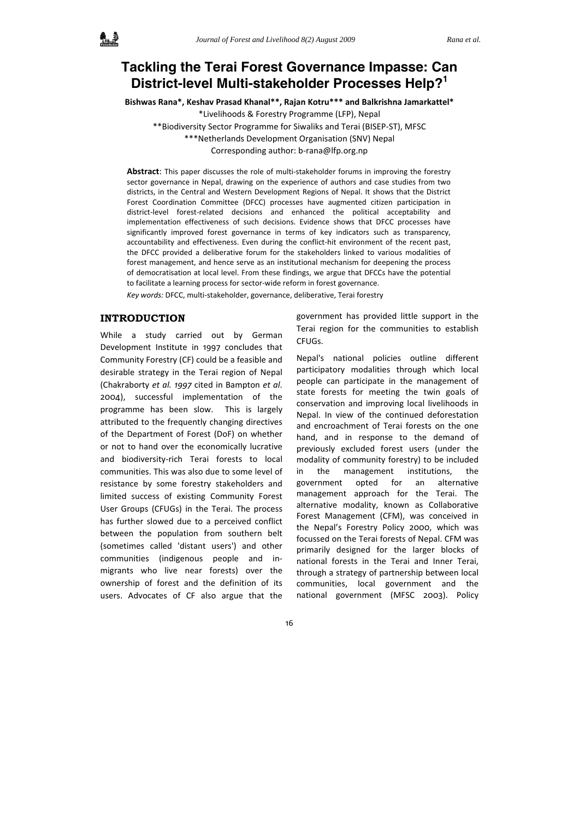# **Tackling the Terai Forest Governance Impasse: Can District-level Multi-stakeholder Processes Help?<sup>1</sup>**

**Bishwas Rana\*, Keshav Prasad Khanal\*\*, Rajan Kotru\*\*\* and Balkrishna Jamarkattel\***

\*Livelihoods & Forestry Programme (LFP), Nepal

\*\*Biodiversity Sector Programme for Siwaliks and Terai (BISEP‐ST), MFSC

\*\*\*Netherlands Development Organisation (SNV) Nepal

Corresponding author: b‐rana@lfp.org.np

Abstract: This paper discusses the role of multi-stakeholder forums in improving the forestry sector governance in Nepal, drawing on the experience of authors and case studies from two districts, in the Central and Western Development Regions of Nepal. It shows that the District Forest Coordination Committee (DFCC) processes have augmented citizen participation in district‐level forest‐related decisions and enhanced the political acceptability and implementation effectiveness of such decisions. Evidence shows that DFCC processes have significantly improved forest governance in terms of key indicators such as transparency, accountability and effectiveness. Even during the conflict‐hit environment of the recent past, the DFCC provided a deliberative forum for the stakeholders linked to various modalities of forest management, and hence serve as an institutional mechanism for deepening the process of democratisation at local level. From these findings, we argue that DFCCs have the potential to facilitate a learning process for sector-wide reform in forest governance.

*Key words:* DFCC, multi‐stakeholder, governance, deliberative, Terai forestry

## **INTRODUCTION**

While a study carried out by German Development Institute in 1997 concludes that Community Forestry (CF) could be a feasible and desirable strategy in the Terai region of Nepal (Chakraborty *et al. 1997* cited in Bampton *et al*. 2004), successful implementation of the programme has been slow. This is largely attributed to the frequently changing directives of the Department of Forest (DoF) on whether or not to hand over the economically lucrative and biodiversity‐rich Terai forests to local communities. This was also due to some level of resistance by some forestry stakeholders and limited success of existing Community Forest User Groups (CFUGs) in the Terai. The process has further slowed due to a perceived conflict between the population from southern belt (sometimes called 'distant users') and other communities (indigenous people and in‐ migrants who live near forests) over the ownership of forest and the definition of its users. Advocates of CF also argue that the

government has provided little support in the Terai region for the communities to establish CFUGs.

Nepal's national policies outline different participatory modalities through which local people can participate in the management of state forests for meeting the twin goals of conservation and improving local livelihoods in Nepal. In view of the continued deforestation and encroachment of Terai forests on the one hand, and in response to the demand of previously excluded forest users (under the modality of community forestry) to be included in the management institutions, the government opted for an alternative management approach for the Terai. The alternative modality, known as Collaborative Forest Management (CFM), was conceived in the Nepal's Forestry Policy 2000, which was focussed on the Terai forests of Nepal. CFM was primarily designed for the larger blocks of national forests in the Terai and Inner Terai, through a strategy of partnership between local communities, local government and the national government (MFSC 2003). Policy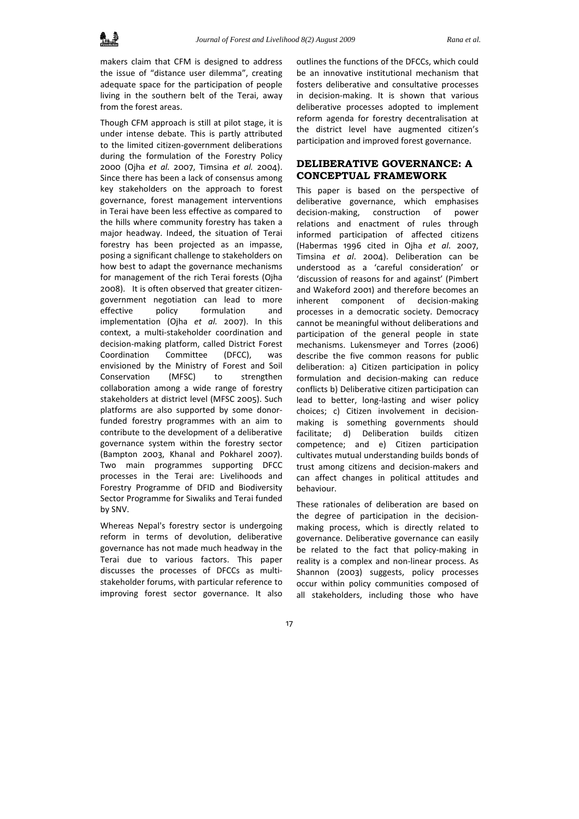makers claim that CFM is designed to address the issue of "distance user dilemma", creating adequate space for the participation of people living in the southern belt of the Terai, away from the forest areas.

Though CFM approach is still at pilot stage, it is under intense debate. This is partly attributed to the limited citizen‐government deliberations during the formulation of the Forestry Policy 2000 (Ojha *et al.* 2007, Timsina *et al.* 2004). Since there has been a lack of consensus among key stakeholders on the approach to forest governance, forest management interventions in Terai have been less effective as compared to the hills where community forestry has taken a major headway. Indeed, the situation of Terai forestry has been projected as an impasse, posing a significant challenge to stakeholders on how best to adapt the governance mechanisms for management of the rich Terai forests (Ojha 2008). It is often observed that greater citizen‐ government negotiation can lead to more effective policy formulation and implementation (Ojha *et al.* 2007). In this context, a multi‐stakeholder coordination and decision‐making platform, called District Forest Coordination Committee (DFCC), was envisioned by the Ministry of Forest and Soil Conservation (MFSC) to strengthen collaboration among a wide range of forestry stakeholders at district level (MFSC 2005). Such platforms are also supported by some donor‐ funded forestry programmes with an aim to contribute to the development of a deliberative governance system within the forestry sector (Bampton 2003, Khanal and Pokharel 2007). Two main programmes supporting DFCC processes in the Terai are: Livelihoods and Forestry Programme of DFID and Biodiversity Sector Programme for Siwaliks and Terai funded by SNV.

Whereas Nepal's forestry sector is undergoing reform in terms of devolution, deliberative governance has not made much headway in the Terai due to various factors. This paper discusses the processes of DFCCs as multi‐ stakeholder forums, with particular reference to improving forest sector governance. It also

outlines the functions of the DFCCs, which could be an innovative institutional mechanism that fosters deliberative and consultative processes in decision‐making. It is shown that various deliberative processes adopted to implement reform agenda for forestry decentralisation at the district level have augmented citizen's participation and improved forest governance.

## **DELIBERATIVE GOVERNANCE: A CONCEPTUAL FRAMEWORK**

This paper is based on the perspective of deliberative governance, which emphasises decision‐making, construction of power relations and enactment of rules through informed participation of affected citizens (Habermas 1996 cited in Ojha *et al*. 2007, Timsina *et al*. 2004). Deliberation can be understood as a 'careful consideration' or 'discussion of reasons for and against' (Pimbert and Wakeford 2001) and therefore becomes an inherent component of decision-making processes in a democratic society. Democracy cannot be meaningful without deliberations and participation of the general people in state mechanisms. Lukensmeyer and Torres (2006) describe the five common reasons for public deliberation: a) Citizen participation in policy formulation and decision‐making can reduce conflicts b) Deliberative citizen participation can lead to better, long‐lasting and wiser policy choices; c) Citizen involvement in decision‐ making is something governments should facilitate; d) Deliberation builds citizen competence; and e) Citizen participation cultivates mutual understanding builds bonds of trust among citizens and decision‐makers and can affect changes in political attitudes and behaviour.

These rationales of deliberation are based on the degree of participation in the decision‐ making process, which is directly related to governance. Deliberative governance can easily be related to the fact that policy-making in reality is a complex and non‐linear process. As Shannon (2003) suggests, policy processes occur within policy communities composed of all stakeholders, including those who have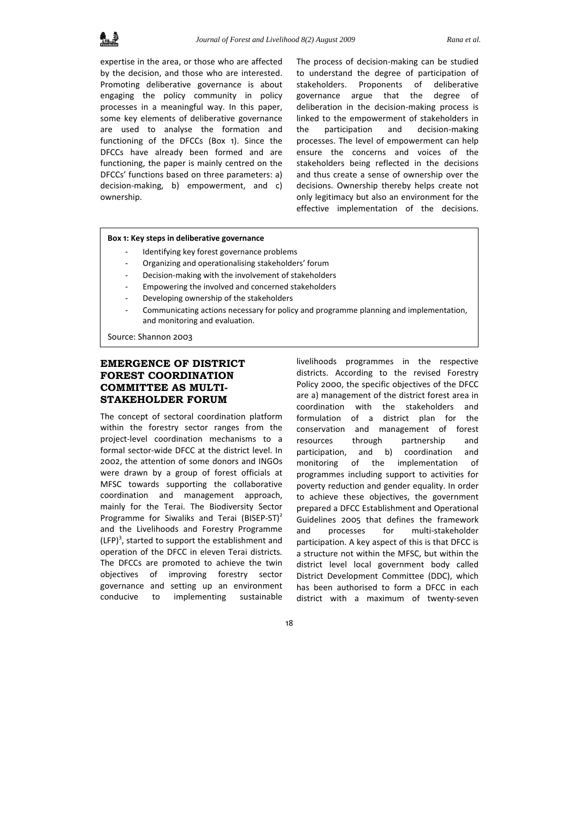

expertise in the area, or those who are affected by the decision, and those who are interested. Promoting deliberative governance is about engaging the policy community in policy processes in a meaningful way. In this paper, some key elements of deliberative governance are used to analyse the formation and functioning of the DFCCs (Box 1). Since the DFCCs have already been formed and are functioning, the paper is mainly centred on the DFCCs' functions based on three parameters: a) decision‐making, b) empowerment, and c) ownership.

The process of decision-making can be studied to understand the degree of participation of stakeholders. Proponents of deliberative governance argue that the degree of deliberation in the decision‐making process is linked to the empowerment of stakeholders in the participation and decision‐making processes. The level of empowerment can help ensure the concerns and voices of the stakeholders being reflected in the decisions and thus create a sense of ownership over the decisions. Ownership thereby helps create not only legitimacy but also an environment for the effective implementation of the decisions.

#### **Box 1: Key steps in deliberative governance**

- Identifying key forest governance problems
- ‐ Organizing and operationalising stakeholders' forum
- ‐ Decision‐making with the involvement of stakeholders
- ‐ Empowering the involved and concerned stakeholders
- ‐ Developing ownership of the stakeholders
- ‐ Communicating actions necessary for policy and programme planning and implementation, and monitoring and evaluation.

Source: Shannon 2003

## **EMERGENCE OF DISTRICT FOREST COORDINATION COMMITTEE AS MULTI-STAKEHOLDER FORUM**

The concept of sectoral coordination platform within the forestry sector ranges from the project‐level coordination mechanisms to a formal sector‐wide DFCC at the district level. In 2002, the attention of some donors and INGOs were drawn by a group of forest officials at MFSC towards supporting the collaborative coordination and management approach, mainly for the Terai. The Biodiversity Sector Programme for Siwaliks and Terai (BISEP-ST)<sup>2</sup> and the Livelihoods and Forestry Programme  $(LFP)^3$ , started to support the establishment and operation of the DFCC in eleven Terai districts*.* The DFCCs are promoted to achieve the twin objectives of improving forestry sector governance and setting up an environment conducive to implementing sustainable

livelihoods programmes in the respective districts. According to the revised Forestry Policy 2000, the specific objectives of the DFCC are a) management of the district forest area in coordination with the stakeholders and formulation of a district plan for the conservation and management of forest resources through partnership and participation, and b) coordination and monitoring of the implementation of programmes including support to activities for poverty reduction and gender equality. In order to achieve these objectives, the government prepared a DFCC Establishment and Operational Guidelines 2005 that defines the framework and processes for multi‐stakeholder participation. A key aspect of this is that DFCC is a structure not within the MFSC, but within the district level local government body called District Development Committee (DDC), which has been authorised to form a DFCC in each district with a maximum of twenty‐seven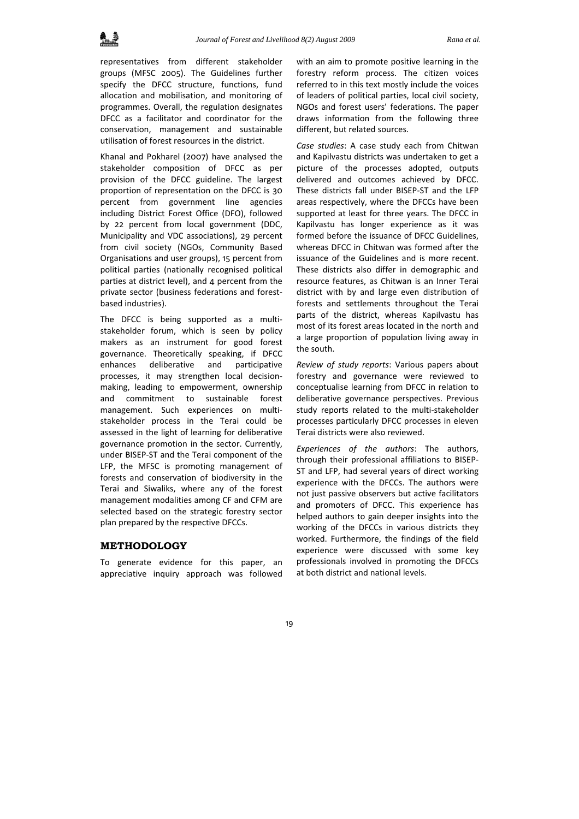

representatives from different stakeholder groups (MFSC 2005). The Guidelines further specify the DFCC structure, functions, fund allocation and mobilisation, and monitoring of programmes. Overall, the regulation designates DFCC as a facilitator and coordinator for the conservation, management and sustainable utilisation of forest resources in the district.

Khanal and Pokharel (2007) have analysed the stakeholder composition of DFCC as per provision of the DFCC guideline. The largest proportion of representation on the DFCC is 30 percent from government line agencies including District Forest Office (DFO), followed by 22 percent from local government (DDC, Municipality and VDC associations), 29 percent from civil society (NGOs, Community Based Organisations and user groups), 15 percent from political parties (nationally recognised political parties at district level), and 4 percent from the private sector (business federations and forest‐ based industries).

The DFCC is being supported as a multistakeholder forum, which is seen by policy makers as an instrument for good forest governance. Theoretically speaking, if DFCC enhances deliberative and participative processes, it may strengthen local decision‐ making, leading to empowerment, ownership and commitment to sustainable forest management. Such experiences on multi‐ stakeholder process in the Terai could be assessed in the light of learning for deliberative governance promotion in the sector. Currently, under BISEP‐ST and the Terai component of the LFP, the MFSC is promoting management of forests and conservation of biodiversity in the Terai and Siwaliks, where any of the forest management modalities among CF and CFM are selected based on the strategic forestry sector plan prepared by the respective DFCCs.

#### **METHODOLOGY**

To generate evidence for this paper, an appreciative inquiry approach was followed with an aim to promote positive learning in the forestry reform process. The citizen voices referred to in this text mostly include the voices of leaders of political parties, local civil society, NGOs and forest users' federations. The paper draws information from the following three different, but related sources.

*Case studies*: A case study each from Chitwan and Kapilvastu districts was undertaken to get a picture of the processes adopted, outputs delivered and outcomes achieved by DFCC. These districts fall under BISEP‐ST and the LFP areas respectively, where the DFCCs have been supported at least for three years. The DFCC in Kapilvastu has longer experience as it was formed before the issuance of DFCC Guidelines, whereas DFCC in Chitwan was formed after the issuance of the Guidelines and is more recent. These districts also differ in demographic and resource features, as Chitwan is an Inner Terai district with by and large even distribution of forests and settlements throughout the Terai parts of the district, whereas Kapilvastu has most of its forest areas located in the north and a large proportion of population living away in the south.

*Review of study reports*: Various papers about forestry and governance were reviewed to conceptualise learning from DFCC in relation to deliberative governance perspectives. Previous study reports related to the multi‐stakeholder processes particularly DFCC processes in eleven Terai districts were also reviewed.

*Experiences of the authors*: The authors, through their professional affiliations to BISEP‐ ST and LFP, had several years of direct working experience with the DFCCs. The authors were not just passive observers but active facilitators and promoters of DFCC. This experience has helped authors to gain deeper insights into the working of the DFCCs in various districts they worked. Furthermore, the findings of the field experience were discussed with some key professionals involved in promoting the DFCCs at both district and national levels.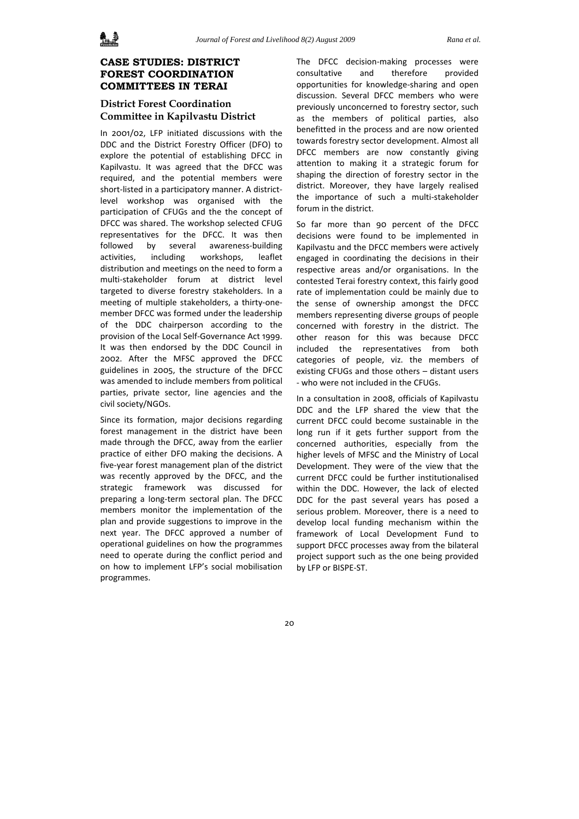## **CASE STUDIES: DISTRICT FOREST COORDINATION COMMITTEES IN TERAI**

## **District Forest Coordination Committee in Kapilvastu District**

In 2001/02, LFP initiated discussions with the DDC and the District Forestry Officer (DFO) to explore the potential of establishing DFCC in Kapilvastu. It was agreed that the DFCC was required, and the potential members were short-listed in a participatory manner. A districtlevel workshop was organised with the participation of CFUGs and the the concept of DFCC was shared. The workshop selected CFUG representatives for the DFCC. It was then followed by several awareness‐building activities, including workshops, leaflet distribution and meetings on the need to form a multi‐stakeholder forum at district level targeted to diverse forestry stakeholders. In a meeting of multiple stakeholders, a thirty-onemember DFCC was formed under the leadership of the DDC chairperson according to the provision of the Local Self‐Governance Act 1999. It was then endorsed by the DDC Council in 2002. After the MFSC approved the DFCC guidelines in 2005, the structure of the DFCC was amended to include members from political parties, private sector, line agencies and the civil society/NGOs.

Since its formation, major decisions regarding forest management in the district have been made through the DFCC, away from the earlier practice of either DFO making the decisions. A five‐year forest management plan of the district was recently approved by the DFCC, and the strategic framework was discussed for preparing a long‐term sectoral plan. The DFCC members monitor the implementation of the plan and provide suggestions to improve in the next year. The DFCC approved a number of operational guidelines on how the programmes need to operate during the conflict period and on how to implement LFP's social mobilisation programmes.

The DFCC decision‐making processes were consultative and therefore provided opportunities for knowledge‐sharing and open discussion. Several DFCC members who were previously unconcerned to forestry sector, such as the members of political parties, also benefitted in the process and are now oriented towards forestry sector development. Almost all DFCC members are now constantly giving attention to making it a strategic forum for shaping the direction of forestry sector in the district. Moreover, they have largely realised the importance of such a multi‐stakeholder forum in the district.

So far more than 90 percent of the DFCC decisions were found to be implemented in Kapilvastu and the DFCC members were actively engaged in coordinating the decisions in their respective areas and/or organisations. In the contested Terai forestry context, this fairly good rate of implementation could be mainly due to the sense of ownership amongst the DFCC members representing diverse groups of people concerned with forestry in the district. The other reason for this was because DFCC included the representatives from both categories of people, viz. the members of existing CFUGs and those others – distant users ‐ who were not included in the CFUGs.

In a consultation in 2008, officials of Kapilvastu DDC and the LFP shared the view that the current DFCC could become sustainable in the long run if it gets further support from the concerned authorities, especially from the higher levels of MFSC and the Ministry of Local Development. They were of the view that the current DFCC could be further institutionalised within the DDC. However, the lack of elected DDC for the past several years has posed a serious problem. Moreover, there is a need to develop local funding mechanism within the framework of Local Development Fund to support DFCC processes away from the bilateral project support such as the one being provided by LFP or BISPE‐ST.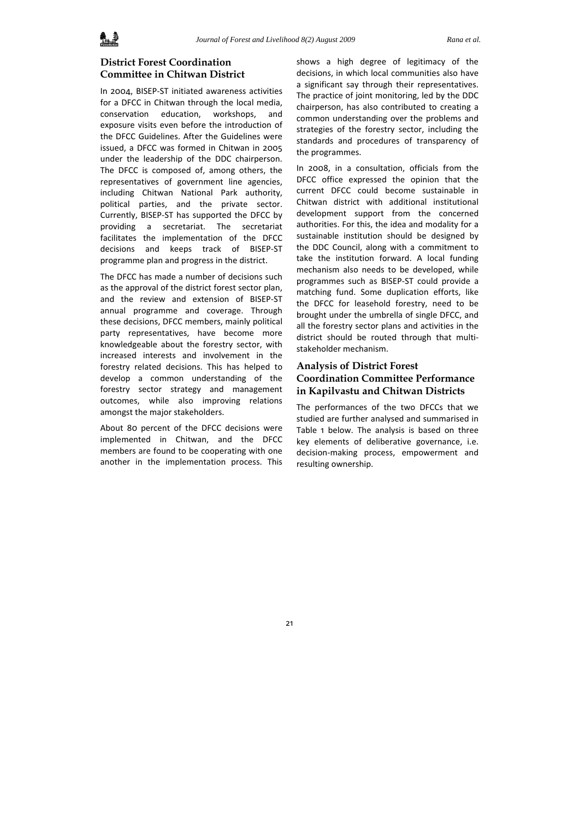## **District Forest Coordination Committee in Chitwan District**

In 2004, BISEP‐ST initiated awareness activities for a DFCC in Chitwan through the local media, conservation education, workshops, and exposure visits even before the introduction of the DFCC Guidelines. After the Guidelines were issued, a DFCC was formed in Chitwan in 2005 under the leadership of the DDC chairperson. The DFCC is composed of, among others, the representatives of government line agencies, including Chitwan National Park authority, political parties, and the private sector. Currently, BISEP‐ST has supported the DFCC by providing a secretariat. The secretariat facilitates the implementation of the DFCC decisions and keeps track of BISEP‐ST programme plan and progress in the district.

The DFCC has made a number of decisions such as the approval of the district forest sector plan, and the review and extension of BISEP‐ST annual programme and coverage. Through these decisions, DFCC members, mainly political party representatives, have become more knowledgeable about the forestry sector, with increased interests and involvement in the forestry related decisions. This has helped to develop a common understanding of the forestry sector strategy and management outcomes, while also improving relations amongst the major stakeholders.

About 80 percent of the DFCC decisions were implemented in Chitwan, and the DFCC members are found to be cooperating with one another in the implementation process. This shows a high degree of legitimacy of the decisions, in which local communities also have a significant say through their representatives. The practice of joint monitoring, led by the DDC chairperson, has also contributed to creating a common understanding over the problems and strategies of the forestry sector, including the standards and procedures of transparency of the programmes.

In 2008, in a consultation, officials from the DFCC office expressed the opinion that the current DFCC could become sustainable in Chitwan district with additional institutional development support from the concerned authorities. For this, the idea and modality for a sustainable institution should be designed by the DDC Council, along with a commitment to take the institution forward. A local funding mechanism also needs to be developed, while programmes such as BISEP‐ST could provide a matching fund. Some duplication efforts, like the DFCC for leasehold forestry, need to be brought under the umbrella of single DFCC, and all the forestry sector plans and activities in the district should be routed through that multi‐ stakeholder mechanism.

### **Analysis of District Forest Coordination Committee Performance in Kapilvastu and Chitwan Districts**

The performances of the two DFCCs that we studied are further analysed and summarised in Table 1 below. The analysis is based on three key elements of deliberative governance, i.e. decision‐making process, empowerment and resulting ownership.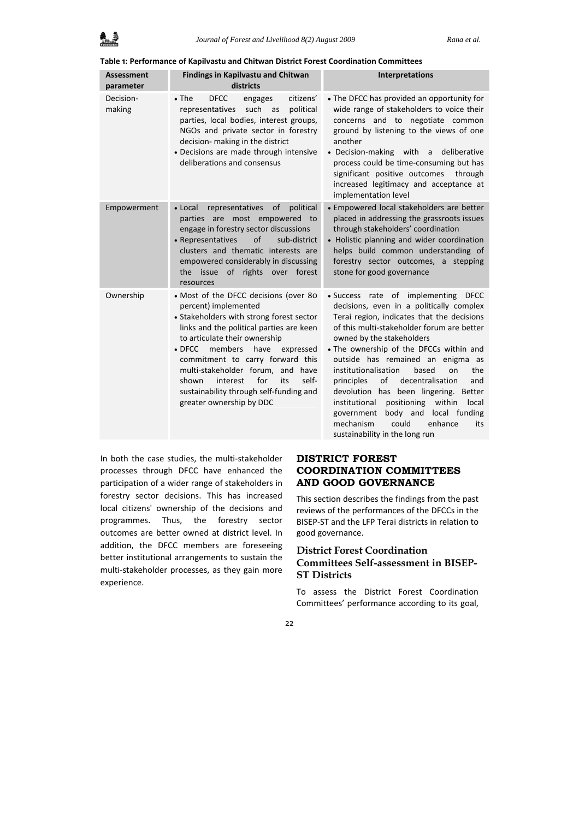#### **Table 1: Performance of Kapilvastu and Chitwan District Forest Coordination Committees**

| <b>Assessment</b><br>parameter | <b>Findings in Kapilvastu and Chitwan</b><br>districts                                                                                                                                                                                                                                                                                                                                                                               | Interpretations                                                                                                                                                                                                                                                                                                                                                                                                                                                                                                                                                                                                             |
|--------------------------------|--------------------------------------------------------------------------------------------------------------------------------------------------------------------------------------------------------------------------------------------------------------------------------------------------------------------------------------------------------------------------------------------------------------------------------------|-----------------------------------------------------------------------------------------------------------------------------------------------------------------------------------------------------------------------------------------------------------------------------------------------------------------------------------------------------------------------------------------------------------------------------------------------------------------------------------------------------------------------------------------------------------------------------------------------------------------------------|
| Decision-<br>making            | $\bullet$ The<br><b>DFCC</b><br>citizens'<br>engages<br>representatives<br>such<br>political<br>as<br>parties, local bodies, interest groups,<br>NGOs and private sector in forestry<br>decision- making in the district<br>• Decisions are made through intensive<br>deliberations and consensus                                                                                                                                    | • The DFCC has provided an opportunity for<br>wide range of stakeholders to voice their<br>concerns and to negotiate common<br>ground by listening to the views of one<br>another<br>• Decision-making with a<br>deliberative<br>process could be time-consuming but has<br>significant positive outcomes<br>through<br>increased legitimacy and acceptance at<br>implementation level                                                                                                                                                                                                                                      |
| Empowerment                    | representatives<br>of<br>political<br>• Local<br>parties are most empowered to<br>engage in forestry sector discussions<br>• Representatives<br>of<br>sub-district<br>clusters and thematic interests are<br>empowered considerably in discussing<br>the issue of rights over forest<br>resources                                                                                                                                    | · Empowered local stakeholders are better<br>placed in addressing the grassroots issues<br>through stakeholders' coordination<br>• Holistic planning and wider coordination<br>helps build common understanding of<br>forestry sector outcomes, a stepping<br>stone for good governance                                                                                                                                                                                                                                                                                                                                     |
| Ownership                      | • Most of the DFCC decisions (over 80<br>percent) implemented<br>• Stakeholders with strong forest sector<br>links and the political parties are keen<br>to articulate their ownership<br>members<br>$\bullet$ DFCC<br>have<br>expressed<br>commitment to carry forward this<br>multi-stakeholder forum, and have<br>for<br>self-<br>interest<br>its<br>shown<br>sustainability through self-funding and<br>greater ownership by DDC | · Success rate of implementing<br><b>DFCC</b><br>decisions, even in a politically complex<br>Terai region, indicates that the decisions<br>of this multi-stakeholder forum are better<br>owned by the stakeholders<br>. The ownership of the DFCCs within and<br>outside has remained an enigma as<br>institutionalisation<br>the<br>based<br>on<br><sub>of</sub><br>decentralisation<br>principles<br>and<br>devolution has been lingering. Better<br>institutional<br>positioning<br>within<br>local<br>body and<br>local funding<br>government<br>mechanism<br>could<br>enhance<br>its<br>sustainability in the long run |

In both the case studies, the multi‐stakeholder processes through DFCC have enhanced the participation of a wider range of stakeholders in forestry sector decisions. This has increased local citizens' ownership of the decisions and programmes. Thus, the forestry sector outcomes are better owned at district level. In addition, the DFCC members are foreseeing better institutional arrangements to sustain the multi‐stakeholder processes, as they gain more experience.

### **DISTRICT FOREST COORDINATION COMMITTEES AND GOOD GOVERNANCE**

This section describes the findings from the past reviews of the performances of the DFCCs in the BISEP‐ST and the LFP Terai districts in relation to good governance.

#### **District Forest Coordination**

### **Committees Self-assessment in BISEP-ST Districts**

To assess the District Forest Coordination Committees' performance according to its goal,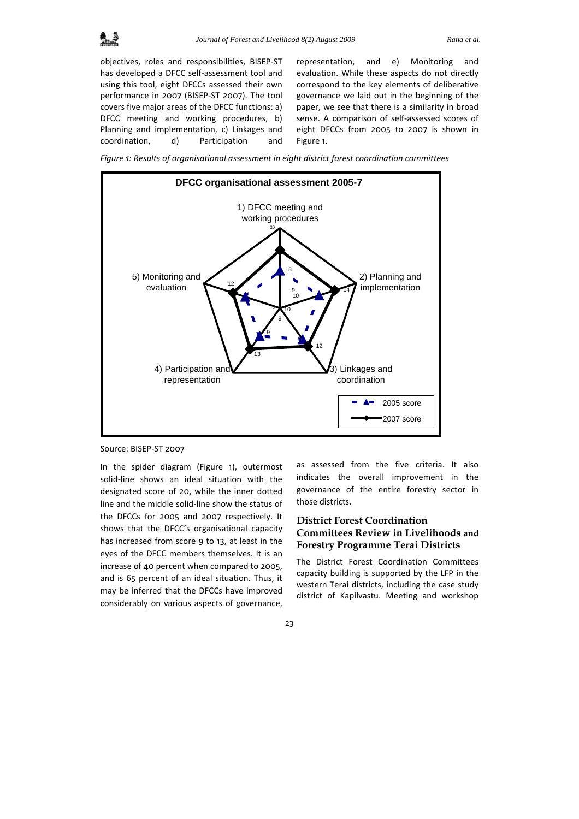objectives, roles and responsibilities, BISEP‐ST has developed a DFCC self‐assessment tool and using this tool, eight DFCCs assessed their own performance in 2007 (BISEP‐ST 2007). The tool covers five major areas of the DFCC functions: a) DFCC meeting and working procedures, b) Planning and implementation, c) Linkages and coordination, d) Participation and

representation, and e) Monitoring and evaluation. While these aspects do not directly correspond to the key elements of deliberative governance we laid out in the beginning of the paper, we see that there is a similarity in broad sense. A comparison of self‐assessed scores of eight DFCCs from 2005 to 2007 is shown in Figure 1.

*Figure 1: Results of organisational assessment in eight district forest coordination committees*



Source: BISEP‐ST 2007

In the spider diagram (Figure 1), outermost solid-line shows an ideal situation with the designated score of 20, while the inner dotted line and the middle solid‐line show the status of the DFCCs for 2005 and 2007 respectively. It shows that the DFCC's organisational capacity has increased from score 9 to 13, at least in the eyes of the DFCC members themselves. It is an increase of 40 percent when compared to 2005, and is 65 percent of an ideal situation. Thus, it may be inferred that the DFCCs have improved considerably on various aspects of governance,

as assessed from the five criteria. It also indicates the overall improvement in the governance of the entire forestry sector in those districts.

## **District Forest Coordination Committees Review in Livelihoods and Forestry Programme Terai Districts**

The District Forest Coordination Committees capacity building is supported by the LFP in the western Terai districts, including the case study district of Kapilvastu. Meeting and workshop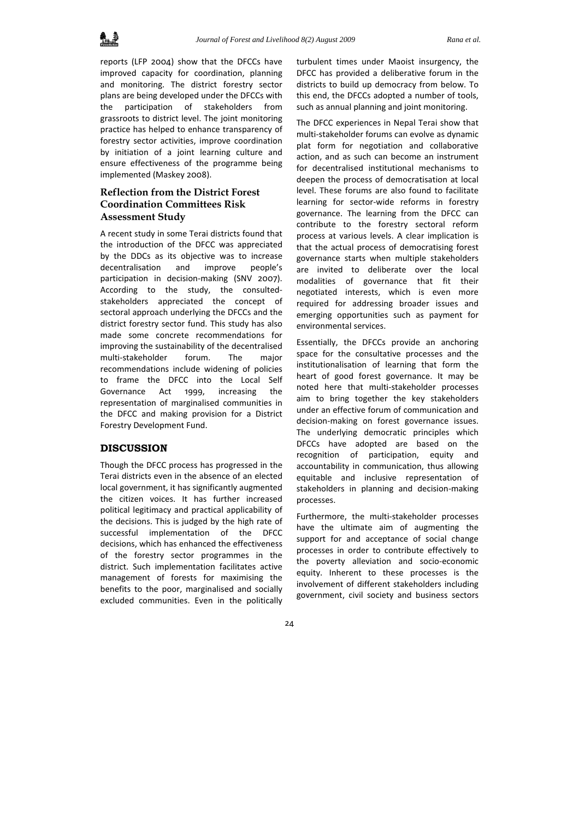reports (LFP 2004) show that the DFCCs have improved capacity for coordination, planning and monitoring. The district forestry sector plans are being developed under the DFCCs with the participation of stakeholders from grassroots to district level. The joint monitoring practice has helped to enhance transparency of forestry sector activities, improve coordination by initiation of a joint learning culture and ensure effectiveness of the programme being implemented (Maskey 2008).

## **Reflection from the District Forest Coordination Committees Risk Assessment Study**

A recent study in some Terai districts found that the introduction of the DFCC was appreciated by the DDCs as its objective was to increase decentralisation and improve people's participation in decision-making (SNV 2007). According to the study, the consulted‐ stakeholders appreciated the concept of sectoral approach underlying the DFCCs and the district forestry sector fund. This study has also made some concrete recommendations for improving the sustainability of the decentralised multi‐stakeholder forum. The major recommendations include widening of policies to frame the DFCC into the Local Self Governance Act 1999, increasing the representation of marginalised communities in the DFCC and making provision for a District Forestry Development Fund.

#### **DISCUSSION**

Though the DFCC process has progressed in the Terai districts even in the absence of an elected local government, it has significantly augmented the citizen voices. It has further increased political legitimacy and practical applicability of the decisions. This is judged by the high rate of successful implementation of the DFCC decisions, which has enhanced the effectiveness of the forestry sector programmes in the district. Such implementation facilitates active management of forests for maximising the benefits to the poor, marginalised and socially excluded communities. Even in the politically

turbulent times under Maoist insurgency, the DFCC has provided a deliberative forum in the districts to build up democracy from below. To this end, the DFCCs adopted a number of tools, such as annual planning and joint monitoring.

The DFCC experiences in Nepal Terai show that multi‐stakeholder forums can evolve as dynamic plat form for negotiation and collaborative action, and as such can become an instrument for decentralised institutional mechanisms to deepen the process of democratisation at local level. These forums are also found to facilitate learning for sector‐wide reforms in forestry governance. The learning from the DFCC can contribute to the forestry sectoral reform process at various levels. A clear implication is that the actual process of democratising forest governance starts when multiple stakeholders are invited to deliberate over the local modalities of governance that fit their negotiated interests, which is even more required for addressing broader issues and emerging opportunities such as payment for environmental services.

Essentially, the DFCCs provide an anchoring space for the consultative processes and the institutionalisation of learning that form the heart of good forest governance. It may be noted here that multi‐stakeholder processes aim to bring together the key stakeholders under an effective forum of communication and decision‐making on forest governance issues. The underlying democratic principles which DFCCs have adopted are based on the recognition of participation, equity and accountability in communication, thus allowing equitable and inclusive representation of stakeholders in planning and decision‐making processes.

Furthermore, the multi‐stakeholder processes have the ultimate aim of augmenting the support for and acceptance of social change processes in order to contribute effectively to the poverty alleviation and socio‐economic equity. Inherent to these processes is the involvement of different stakeholders including government, civil society and business sectors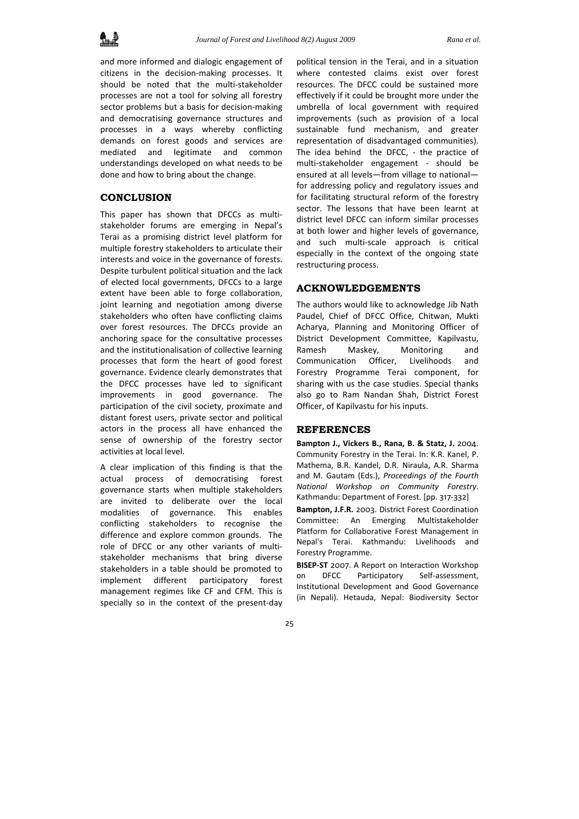

and more informed and dialogic engagement of citizens in the decision‐making processes. It should be noted that the multi‐stakeholder processes are not a tool for solving all forestry sector problems but a basis for decision-making and democratising governance structures and processes in a ways whereby conflicting demands on forest goods and services are mediated and legitimate and common understandings developed on what needs to be done and how to bring about the change.

#### **CONCLUSION**

This paper has shown that DFCCs as multi‐ stakeholder forums are emerging in Nepal's Terai as a promising district level platform for multiple forestry stakeholders to articulate their interests and voice in the governance of forests. Despite turbulent political situation and the lack of elected local governments, DFCCs to a large extent have been able to forge collaboration, joint learning and negotiation among diverse stakeholders who often have conflicting claims over forest resources. The DFCCs provide an anchoring space for the consultative processes and the institutionalisation of collective learning processes that form the heart of good forest governance. Evidence clearly demonstrates that the DFCC processes have led to significant improvements in good governance. The participation of the civil society, proximate and distant forest users, private sector and political actors in the process all have enhanced the sense of ownership of the forestry sector activities at local level.

A clear implication of this finding is that the actual process of democratising forest governance starts when multiple stakeholders are invited to deliberate over the local modalities of governance. This enables conflicting stakeholders to recognise the difference and explore common grounds. The role of DFCC or any other variants of multistakeholder mechanisms that bring diverse stakeholders in a table should be promoted to implement different participatory forest management regimes like CF and CFM. This is specially so in the context of the present-day

political tension in the Terai, and in a situation where contested claims exist over forest resources. The DFCC could be sustained more effectively if it could be brought more under the umbrella of local government with required improvements (such as provision of a local sustainable fund mechanism, and greater representation of disadvantaged communities). The idea behind the DFCC, - the practice of multi‐stakeholder engagement ‐ should be ensured at all levels—from village to national for addressing policy and regulatory issues and for facilitating structural reform of the forestry sector. The lessons that have been learnt at district level DFCC can inform similar processes at both lower and higher levels of governance, and such multi‐scale approach is critical especially in the context of the ongoing state restructuring process.

#### **ACKNOWLEDGEMENTS**

The authors would like to acknowledge Jib Nath Paudel, Chief of DFCC Office, Chitwan, Mukti Acharya, Planning and Monitoring Officer of District Development Committee, Kapilvastu, Ramesh Maskey, Monitoring and Communication Officer, Livelihoods and Forestry Programme Terai component, for sharing with us the case studies. Special thanks also go to Ram Nandan Shah, District Forest Officer, of Kapilvastu for his inputs.

#### **REFERENCES**

**Bampton J., Vickers B., Rana, B. & Statz, J.** 2004. Community Forestry in the Terai. In: K.R. Kanel, P. Mathema, B.R. Kandel, D.R. Niraula, A.R. Sharma and M. Gautam (Eds.), *Proceedings of the Fourth National Workshop on Community Forestry*. Kathmandu: Department of Forest. [pp. 317‐332]

**Bampton, J.F.R.** 2003. District Forest Coordination Committee: An Emerging Multistakeholder Platform for Collaborative Forest Management in Nepal's Terai. Kathmandu: Livelihoods and Forestry Programme.

**BISEP‐ST** 2007. A Report on Interaction Workshop on DFCC Participatory Self‐assessment, Institutional Development and Good Governance (in Nepali). Hetauda, Nepal: Biodiversity Sector